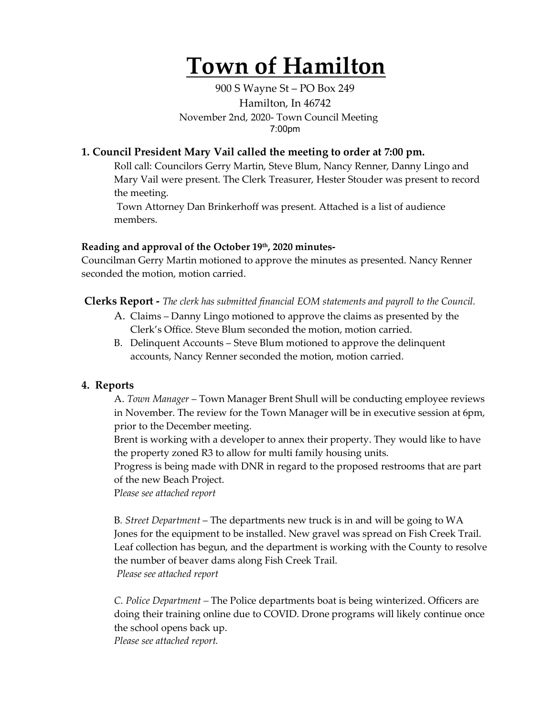# **Town of Hamilton**

900 S Wayne St – PO Box 249 Hamilton, In 46742 November 2nd, 2020- Town Council Meeting 7:00pm

# **1. Council President Mary Vail called the meeting to order at 7:00 pm.**

Roll call: Councilors Gerry Martin, Steve Blum, Nancy Renner, Danny Lingo and Mary Vail were present. The Clerk Treasurer, Hester Stouder was present to record the meeting.

Town Attorney Dan Brinkerhoff was present. Attached is a list of audience members.

## **Reading and approval of the October 19th, 2020 minutes-**

Councilman Gerry Martin motioned to approve the minutes as presented. Nancy Renner seconded the motion, motion carried.

**Clerks Report -** *The clerk has submitted financial EOM statements and payroll to the Council.* 

- A. Claims Danny Lingo motioned to approve the claims as presented by the Clerk's Office. Steve Blum seconded the motion, motion carried.
- B. Delinquent Accounts Steve Blum motioned to approve the delinquent accounts, Nancy Renner seconded the motion, motion carried.

# **4. Reports**

A. *Town Manager* – Town Manager Brent Shull will be conducting employee reviews in November. The review for the Town Manager will be in executive session at 6pm, prior to the December meeting.

Brent is working with a developer to annex their property. They would like to have the property zoned R3 to allow for multi family housing units.

Progress is being made with DNR in regard to the proposed restrooms that are part of the new Beach Project.

P*lease see attached report*

B*. Street Department* – The departments new truck is in and will be going to WA Jones for the equipment to be installed. New gravel was spread on Fish Creek Trail. Leaf collection has begun, and the department is working with the County to resolve the number of beaver dams along Fish Creek Trail. *Please see attached report*

*C. Police Department –* The Police departments boat is being winterized. Officers are doing their training online due to COVID. Drone programs will likely continue once the school opens back up.

*Please see attached report.*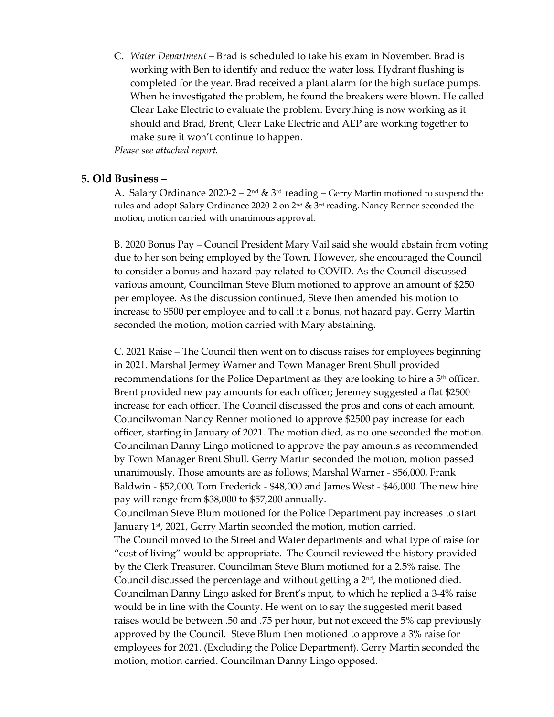C. *Water Department* – Brad is scheduled to take his exam in November. Brad is working with Ben to identify and reduce the water loss. Hydrant flushing is completed for the year. Brad received a plant alarm for the high surface pumps. When he investigated the problem, he found the breakers were blown. He called Clear Lake Electric to evaluate the problem. Everything is now working as it should and Brad, Brent, Clear Lake Electric and AEP are working together to make sure it won't continue to happen.

*Please see attached report.* 

#### **5. Old Business –**

A. Salary Ordinance 2020-2 –  $2<sup>nd</sup>$  &  $3<sup>rd</sup>$  reading – Gerry Martin motioned to suspend the rules and adopt Salary Ordinance 2020-2 on 2nd & 3rd reading. Nancy Renner seconded the motion, motion carried with unanimous approval.

B. 2020 Bonus Pay – Council President Mary Vail said she would abstain from voting due to her son being employed by the Town. However, she encouraged the Council to consider a bonus and hazard pay related to COVID. As the Council discussed various amount, Councilman Steve Blum motioned to approve an amount of \$250 per employee. As the discussion continued, Steve then amended his motion to increase to \$500 per employee and to call it a bonus, not hazard pay. Gerry Martin seconded the motion, motion carried with Mary abstaining.

C. 2021 Raise – The Council then went on to discuss raises for employees beginning in 2021. Marshal Jermey Warner and Town Manager Brent Shull provided recommendations for the Police Department as they are looking to hire a 5<sup>th</sup> officer. Brent provided new pay amounts for each officer; Jeremey suggested a flat \$2500 increase for each officer. The Council discussed the pros and cons of each amount. Councilwoman Nancy Renner motioned to approve \$2500 pay increase for each officer, starting in January of 2021. The motion died, as no one seconded the motion. Councilman Danny Lingo motioned to approve the pay amounts as recommended by Town Manager Brent Shull. Gerry Martin seconded the motion, motion passed unanimously. Those amounts are as follows; Marshal Warner - \$56,000, Frank Baldwin - \$52,000, Tom Frederick - \$48,000 and James West - \$46,000. The new hire pay will range from \$38,000 to \$57,200 annually.

Councilman Steve Blum motioned for the Police Department pay increases to start January 1<sup>st</sup>, 2021, Gerry Martin seconded the motion, motion carried.

The Council moved to the Street and Water departments and what type of raise for "cost of living" would be appropriate. The Council reviewed the history provided by the Clerk Treasurer. Councilman Steve Blum motioned for a 2.5% raise. The Council discussed the percentage and without getting a  $2<sup>nd</sup>$ , the motioned died. Councilman Danny Lingo asked for Brent's input, to which he replied a 3-4% raise would be in line with the County. He went on to say the suggested merit based raises would be between .50 and .75 per hour, but not exceed the 5% cap previously approved by the Council. Steve Blum then motioned to approve a 3% raise for employees for 2021. (Excluding the Police Department). Gerry Martin seconded the motion, motion carried. Councilman Danny Lingo opposed.